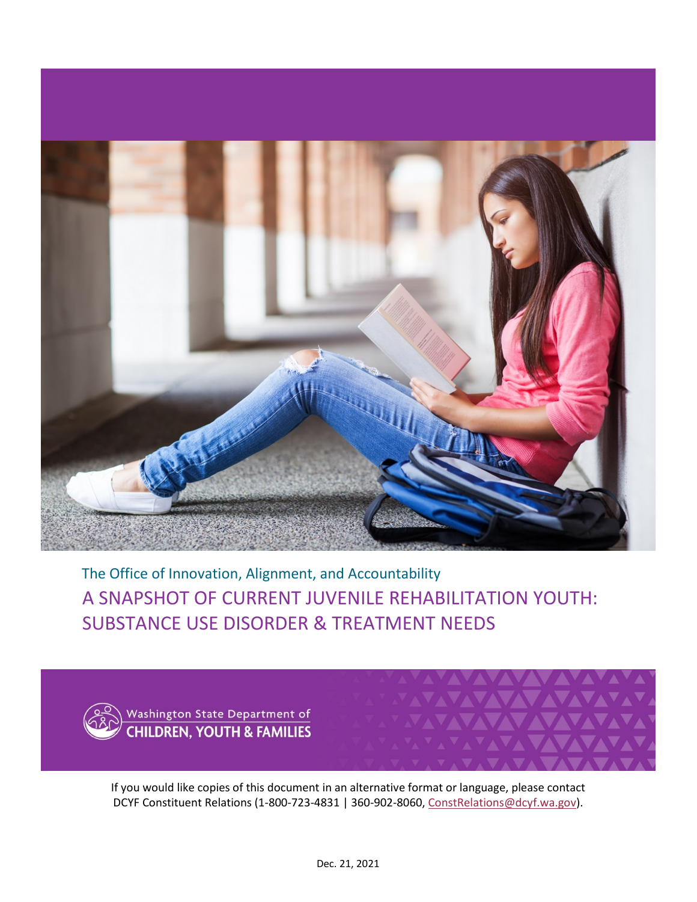

A SNAPSHOT OF CURRENT JUVENILE REHABILITATION YOUTH: SUBSTANCE USE DISORDER & TREATMENT NEEDS The Office of Innovation, Alignment, and Accountability



**VV** 

If you would like copies of this document in an alternative format or language, please contact DCYF Constituent Relations (1-800-723-4831 | 360-902-8060, [ConstRelations@dcyf.wa.gov\)](mailto:ConstRelations@dcyf.wa.gov).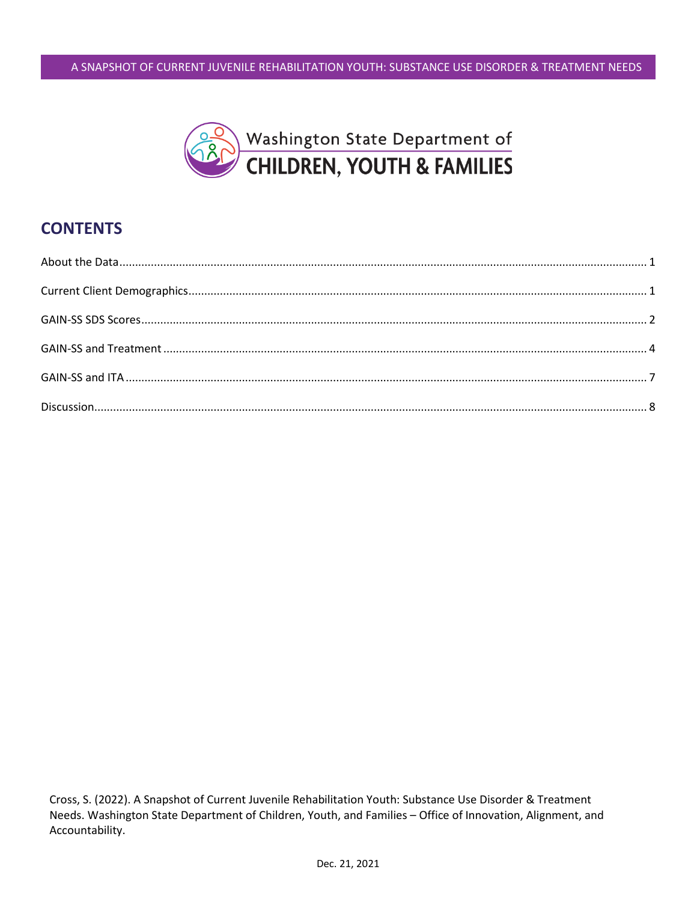

# **CONTENTS**

Cross, S. (2022). A Snapshot of Current Juvenile Rehabilitation Youth: Substance Use Disorder & Treatment Needs. Washington State Department of Children, Youth, and Families - Office of Innovation, Alignment, and Accountability.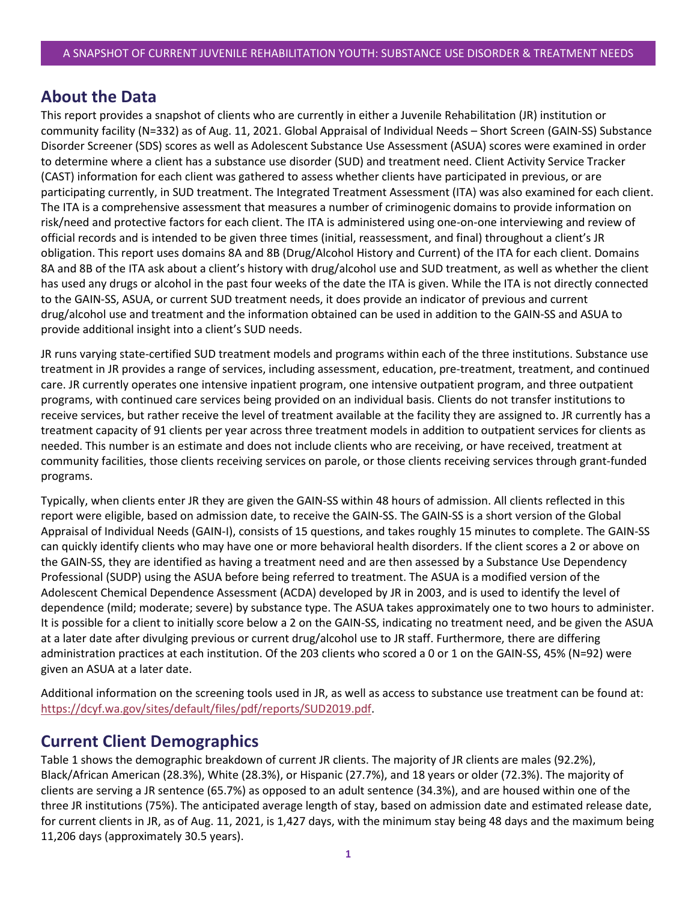## <span id="page-2-0"></span>**About the Data**

This report provides a snapshot of clients who are currently in either a Juvenile Rehabilitation (JR) institution or community facility (N=332) as of Aug. 11, 2021. Global Appraisal of Individual Needs – Short Screen (GAIN-SS) Substance Disorder Screener (SDS) scores as well as Adolescent Substance Use Assessment (ASUA) scores were examined in order to determine where a client has a substance use disorder (SUD) and treatment need. Client Activity Service Tracker (CAST) information for each client was gathered to assess whether clients have participated in previous, or are participating currently, in SUD treatment. The Integrated Treatment Assessment (ITA) was also examined for each client. The ITA is a comprehensive assessment that measures a number of criminogenic domains to provide information on risk/need and protective factors for each client. The ITA is administered using one-on-one interviewing and review of official records and is intended to be given three times (initial, reassessment, and final) throughout a client's JR obligation. This report uses domains 8A and 8B (Drug/Alcohol History and Current) of the ITA for each client. Domains 8A and 8B of the ITA ask about a client's history with drug/alcohol use and SUD treatment, as well as whether the client has used any drugs or alcohol in the past four weeks of the date the ITA is given. While the ITA is not directly connected to the GAIN-SS, ASUA, or current SUD treatment needs, it does provide an indicator of previous and current drug/alcohol use and treatment and the information obtained can be used in addition to the GAIN-SS and ASUA to provide additional insight into a client's SUD needs.

JR runs varying state-certified SUD treatment models and programs within each of the three institutions. Substance use treatment in JR provides a range of services, including assessment, education, pre-treatment, treatment, and continued care. JR currently operates one intensive inpatient program, one intensive outpatient program, and three outpatient programs, with continued care services being provided on an individual basis. Clients do not transfer institutions to receive services, but rather receive the level of treatment available at the facility they are assigned to. JR currently has a treatment capacity of 91 clients per year across three treatment models in addition to outpatient services for clients as needed. This number is an estimate and does not include clients who are receiving, or have received, treatment at community facilities, those clients receiving services on parole, or those clients receiving services through grant-funded programs.

Typically, when clients enter JR they are given the GAIN-SS within 48 hours of admission. All clients reflected in this report were eligible, based on admission date, to receive the GAIN-SS. The GAIN-SS is a short version of the Global Appraisal of Individual Needs (GAIN-I), consists of 15 questions, and takes roughly 15 minutes to complete. The GAIN-SS can quickly identify clients who may have one or more behavioral health disorders. If the client scores a 2 or above on the GAIN-SS, they are identified as having a treatment need and are then assessed by a Substance Use Dependency Professional (SUDP) using the ASUA before being referred to treatment. The ASUA is a modified version of the Adolescent Chemical Dependence Assessment (ACDA) developed by JR in 2003, and is used to identify the level of dependence (mild; moderate; severe) by substance type. The ASUA takes approximately one to two hours to administer. It is possible for a client to initially score below a 2 on the GAIN-SS, indicating no treatment need, and be given the ASUA at a later date after divulging previous or current drug/alcohol use to JR staff. Furthermore, there are differing administration practices at each institution. Of the 203 clients who scored a 0 or 1 on the GAIN-SS, 45% (N=92) were given an ASUA at a later date.

Additional information on the screening tools used in JR, as well as access to substance use treatment can be found at: [https://dcyf.wa.gov/sites/default/files/pdf/reports/SUD2019.pdf.](https://dcyf.wa.gov/sites/default/files/pdf/reports/SUD2019.pdf)

# <span id="page-2-1"></span>**Current Client Demographics**

Table 1 shows the demographic breakdown of current JR clients. The majority of JR clients are males (92.2%), Black/African American (28.3%), White (28.3%), or Hispanic (27.7%), and 18 years or older (72.3%). The majority of clients are serving a JR sentence (65.7%) as opposed to an adult sentence (34.3%), and are housed within one of the three JR institutions (75%). The anticipated average length of stay, based on admission date and estimated release date, for current clients in JR, as of Aug. 11, 2021, is 1,427 days, with the minimum stay being 48 days and the maximum being 11,206 days (approximately 30.5 years).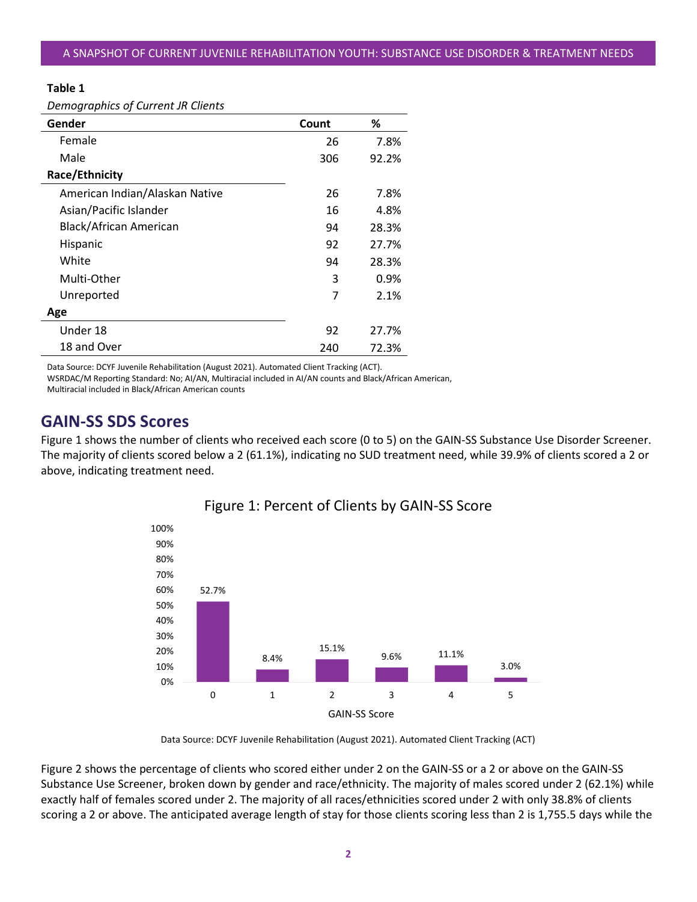#### **Table 1**

| Gender                         | Count | ℅     |
|--------------------------------|-------|-------|
| Female                         | 26    | 7.8%  |
| Male                           | 306   | 92.2% |
| Race/Ethnicity                 |       |       |
| American Indian/Alaskan Native | 26    | 7.8%  |
| Asian/Pacific Islander         | 16    | 4.8%  |
| Black/African American         | 94    | 28.3% |
| Hispanic                       | 92    | 27.7% |
| White                          | 94    | 28.3% |
| Multi-Other                    | 3     | 0.9%  |
| Unreported                     | 7     | 2.1%  |
| Age                            |       |       |
| Under 18                       | 92    | 27.7% |
| 18 and Over                    | 240   | 72.3% |

Data Source: DCYF Juvenile Rehabilitation (August 2021). Automated Client Tracking (ACT).

WSRDAC/M Reporting Standard: No; AI/AN, Multiracial included in AI/AN counts and Black/African American, Multiracial included in Black/African American counts

## <span id="page-3-0"></span>**GAIN-SS SDS Scores**

Figure 1 shows the number of clients who received each score (0 to 5) on the GAIN-SS Substance Use Disorder Screener. The majority of clients scored below a 2 (61.1%), indicating no SUD treatment need, while 39.9% of clients scored a 2 or above, indicating treatment need.



### Figure 1: Percent of Clients by GAIN-SS Score

Data Source: DCYF Juvenile Rehabilitation (August 2021). Automated Client Tracking (ACT)

Figure 2 shows the percentage of clients who scored either under 2 on the GAIN-SS or a 2 or above on the GAIN-SS Substance Use Screener, broken down by gender and race/ethnicity. The majority of males scored under 2 (62.1%) while exactly half of females scored under 2. The majority of all races/ethnicities scored under 2 with only 38.8% of clients scoring a 2 or above. The anticipated average length of stay for those clients scoring less than 2 is 1,755.5 days while the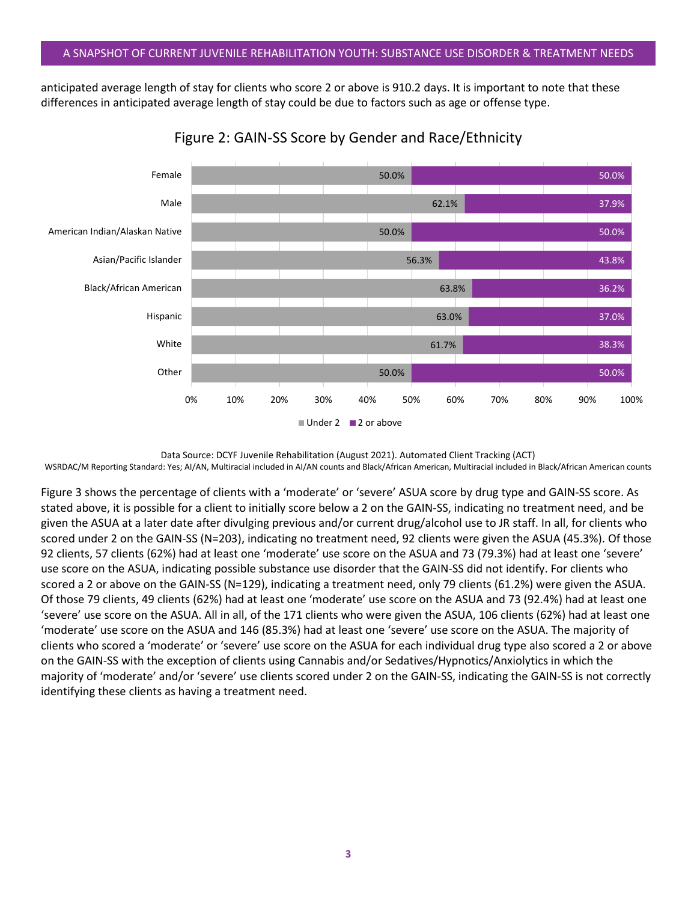anticipated average length of stay for clients who score 2 or above is 910.2 days. It is important to note that these differences in anticipated average length of stay could be due to factors such as age or offense type.





WSRDAC/M Reporting Standard: Yes; AI/AN, Multiracial included in AI/AN counts and Black/African American, Multiracial included in Black/African American counts

Figure 3 shows the percentage of clients with a 'moderate' or 'severe' ASUA score by drug type and GAIN-SS score. As stated above, it is possible for a client to initially score below a 2 on the GAIN-SS, indicating no treatment need, and be given the ASUA at a later date after divulging previous and/or current drug/alcohol use to JR staff. In all, for clients who scored under 2 on the GAIN-SS (N=203), indicating no treatment need, 92 clients were given the ASUA (45.3%). Of those 92 clients, 57 clients (62%) had at least one 'moderate' use score on the ASUA and 73 (79.3%) had at least one 'severe' use score on the ASUA, indicating possible substance use disorder that the GAIN-SS did not identify. For clients who scored a 2 or above on the GAIN-SS (N=129), indicating a treatment need, only 79 clients (61.2%) were given the ASUA. Of those 79 clients, 49 clients (62%) had at least one 'moderate' use score on the ASUA and 73 (92.4%) had at least one 'severe' use score on the ASUA. All in all, of the 171 clients who were given the ASUA, 106 clients (62%) had at least one 'moderate' use score on the ASUA and 146 (85.3%) had at least one 'severe' use score on the ASUA. The majority of clients who scored a 'moderate' or 'severe' use score on the ASUA for each individual drug type also scored a 2 or above on the GAIN-SS with the exception of clients using Cannabis and/or Sedatives/Hypnotics/Anxiolytics in which the majority of 'moderate' and/or 'severe' use clients scored under 2 on the GAIN-SS, indicating the GAIN-SS is not correctly identifying these clients as having a treatment need.

Data Source: DCYF Juvenile Rehabilitation (August 2021). Automated Client Tracking (ACT)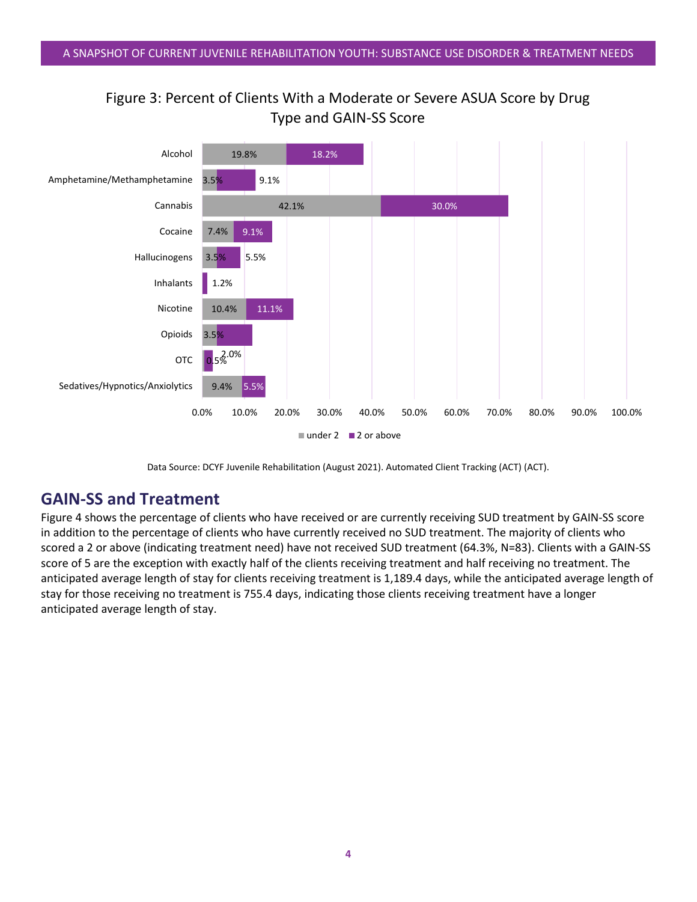



Data Source: DCYF Juvenile Rehabilitation (August 2021). Automated Client Tracking (ACT) (ACT).

# <span id="page-5-0"></span>**GAIN-SS and Treatment**

Figure 4 shows the percentage of clients who have received or are currently receiving SUD treatment by GAIN-SS score in addition to the percentage of clients who have currently received no SUD treatment. The majority of clients who scored a 2 or above (indicating treatment need) have not received SUD treatment (64.3%, N=83). Clients with a GAIN-SS score of 5 are the exception with exactly half of the clients receiving treatment and half receiving no treatment. The anticipated average length of stay for clients receiving treatment is 1,189.4 days, while the anticipated average length of stay for those receiving no treatment is 755.4 days, indicating those clients receiving treatment have a longer anticipated average length of stay.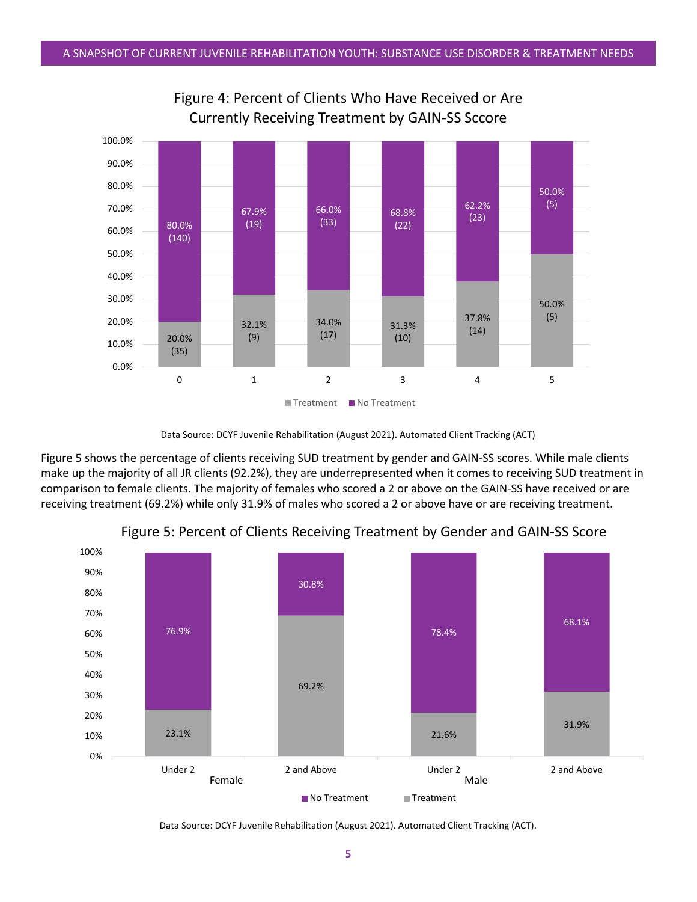

Figure 4: Percent of Clients Who Have Received or Are Currently Receiving Treatment by GAIN-SS Sccore

Figure 5 shows the percentage of clients receiving SUD treatment by gender and GAIN-SS scores. While male clients make up the majority of all JR clients (92.2%), they are underrepresented when it comes to receiving SUD treatment in comparison to female clients. The majority of females who scored a 2 or above on the GAIN-SS have received or are receiving treatment (69.2%) while only 31.9% of males who scored a 2 or above have or are receiving treatment.



Figure 5: Percent of Clients Receiving Treatment by Gender and GAIN-SS Score

Data Source: DCYF Juvenile Rehabilitation (August 2021). Automated Client Tracking (ACT).

Data Source: DCYF Juvenile Rehabilitation (August 2021). Automated Client Tracking (ACT)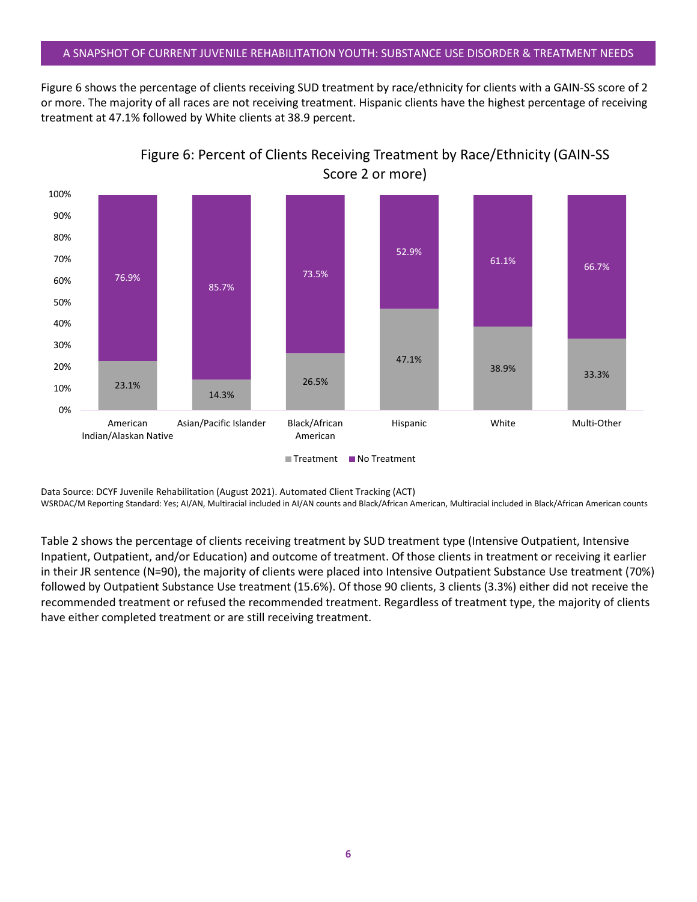#### A SNAPSHOT OF CURRENT JUVENILE REHABILITATION YOUTH: SUBSTANCE USE DISORDER & TREATMENT NEEDS

Figure 6 shows the percentage of clients receiving SUD treatment by race/ethnicity for clients with a GAIN-SS score of 2 or more. The majority of all races are not receiving treatment. Hispanic clients have the highest percentage of receiving treatment at 47.1% followed by White clients at 38.9 percent.



Figure 6: Percent of Clients Receiving Treatment by Race/Ethnicity (GAIN-SS Score 2 or more)

Data Source: DCYF Juvenile Rehabilitation (August 2021). Automated Client Tracking (ACT)

WSRDAC/M Reporting Standard: Yes; AI/AN, Multiracial included in AI/AN counts and Black/African American, Multiracial included in Black/African American counts

Table 2 shows the percentage of clients receiving treatment by SUD treatment type (Intensive Outpatient, Intensive Inpatient, Outpatient, and/or Education) and outcome of treatment. Of those clients in treatment or receiving it earlier in their JR sentence (N=90), the majority of clients were placed into Intensive Outpatient Substance Use treatment (70%) followed by Outpatient Substance Use treatment (15.6%). Of those 90 clients, 3 clients (3.3%) either did not receive the recommended treatment or refused the recommended treatment. Regardless of treatment type, the majority of clients have either completed treatment or are still receiving treatment.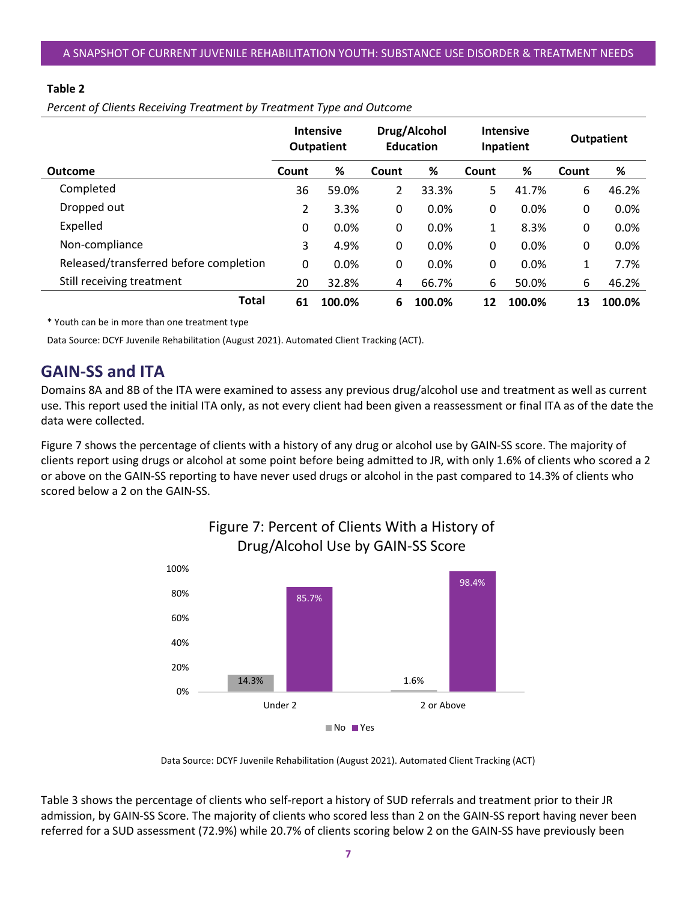#### **Table 2**

*Percent of Clients Receiving Treatment by Treatment Type and Outcome*

|                                        | Drug/Alcohol<br><b>Intensive</b><br><b>Education</b><br><b>Outpatient</b> |        |       | <b>Intensive</b><br>Inpatient |       | <b>Outpatient</b> |       |        |
|----------------------------------------|---------------------------------------------------------------------------|--------|-------|-------------------------------|-------|-------------------|-------|--------|
| <b>Outcome</b>                         | Count                                                                     | %      | Count | %                             | Count | %                 | Count | %      |
| Completed                              | 36                                                                        | 59.0%  | 2     | 33.3%                         | 5     | 41.7%             | 6     | 46.2%  |
| Dropped out                            | 2                                                                         | 3.3%   | 0     | 0.0%                          | 0     | 0.0%              | 0     | 0.0%   |
| Expelled                               | 0                                                                         | 0.0%   | 0     | 0.0%                          | 1     | 8.3%              | 0     | 0.0%   |
| Non-compliance                         | 3                                                                         | 4.9%   | 0     | 0.0%                          | 0     | 0.0%              | 0     | 0.0%   |
| Released/transferred before completion | 0                                                                         | 0.0%   | 0     | 0.0%                          | 0     | 0.0%              | 1     | 7.7%   |
| Still receiving treatment              | 20                                                                        | 32.8%  | 4     | 66.7%                         | 6     | 50.0%             | 6     | 46.2%  |
| Total                                  | 61                                                                        | 100.0% | 6     | 100.0%                        | 12    | 100.0%            | 13    | 100.0% |

\* Youth can be in more than one treatment type

<span id="page-8-0"></span>Data Source: DCYF Juvenile Rehabilitation (August 2021). Automated Client Tracking (ACT).

# **GAIN-SS and ITA**

Domains 8A and 8B of the ITA were examined to assess any previous drug/alcohol use and treatment as well as current use. This report used the initial ITA only, as not every client had been given a reassessment or final ITA as of the date the data were collected.

Figure 7 shows the percentage of clients with a history of any drug or alcohol use by GAIN-SS score. The majority of clients report using drugs or alcohol at some point before being admitted to JR, with only 1.6% of clients who scored a 2 or above on the GAIN-SS reporting to have never used drugs or alcohol in the past compared to 14.3% of clients who scored below a 2 on the GAIN-SS.



# Figure 7: Percent of Clients With a History of

Data Source: DCYF Juvenile Rehabilitation (August 2021). Automated Client Tracking (ACT)

Table 3 shows the percentage of clients who self-report a history of SUD referrals and treatment prior to their JR admission, by GAIN-SS Score. The majority of clients who scored less than 2 on the GAIN-SS report having never been referred for a SUD assessment (72.9%) while 20.7% of clients scoring below 2 on the GAIN-SS have previously been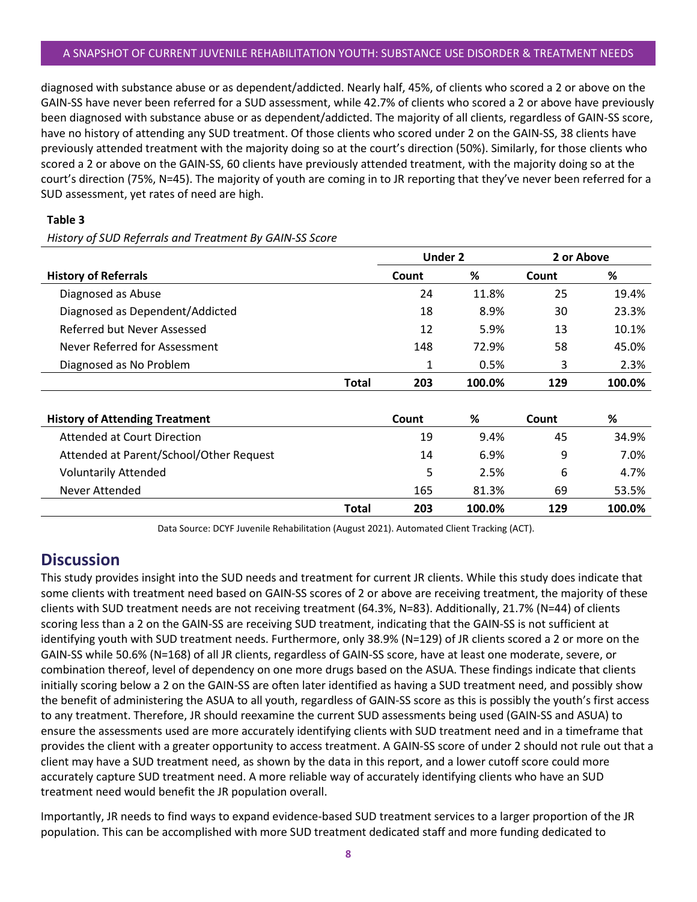#### A SNAPSHOT OF CURRENT JUVENILE REHABILITATION YOUTH: SUBSTANCE USE DISORDER & TREATMENT NEEDS

diagnosed with substance abuse or as dependent/addicted. Nearly half, 45%, of clients who scored a 2 or above on the GAIN-SS have never been referred for a SUD assessment, while 42.7% of clients who scored a 2 or above have previously been diagnosed with substance abuse or as dependent/addicted. The majority of all clients, regardless of GAIN-SS score, have no history of attending any SUD treatment. Of those clients who scored under 2 on the GAIN-SS, 38 clients have previously attended treatment with the majority doing so at the court's direction (50%). Similarly, for those clients who scored a 2 or above on the GAIN-SS, 60 clients have previously attended treatment, with the majority doing so at the court's direction (75%, N=45). The majority of youth are coming in to JR reporting that they've never been referred for a SUD assessment, yet rates of need are high.

#### **Table 3**

*History of SUD Referrals and Treatment By GAIN-SS Score*

|                                         |              | <b>Under 2</b> |        | 2 or Above |        |
|-----------------------------------------|--------------|----------------|--------|------------|--------|
| <b>History of Referrals</b>             |              | Count          | ℅      | Count      | %      |
| Diagnosed as Abuse                      |              | 24             | 11.8%  | 25         | 19.4%  |
| Diagnosed as Dependent/Addicted         |              | 18             | 8.9%   | 30         | 23.3%  |
| Referred but Never Assessed             |              | 12             | 5.9%   | 13         | 10.1%  |
| Never Referred for Assessment           |              | 148            | 72.9%  | 58         | 45.0%  |
| Diagnosed as No Problem                 |              | 1              | 0.5%   | 3          | 2.3%   |
|                                         | <b>Total</b> | 203            | 100.0% | 129        | 100.0% |
|                                         |              |                |        |            |        |
| <b>History of Attending Treatment</b>   |              | Count          | ℅      | Count      | %      |
| <b>Attended at Court Direction</b>      |              | 19             | 9.4%   | 45         | 34.9%  |
| Attended at Parent/School/Other Request |              | 14             | 6.9%   | 9          | 7.0%   |
| <b>Voluntarily Attended</b>             |              | 5              | 2.5%   | 6          | 4.7%   |
| Never Attended                          |              | 165            | 81.3%  | 69         | 53.5%  |
|                                         | Total        | 203            | 100.0% | 129        | 100.0% |

Data Source: DCYF Juvenile Rehabilitation (August 2021). Automated Client Tracking (ACT).

## <span id="page-9-0"></span>**Discussion**

This study provides insight into the SUD needs and treatment for current JR clients. While this study does indicate that some clients with treatment need based on GAIN-SS scores of 2 or above are receiving treatment, the majority of these clients with SUD treatment needs are not receiving treatment (64.3%, N=83). Additionally, 21.7% (N=44) of clients scoring less than a 2 on the GAIN-SS are receiving SUD treatment, indicating that the GAIN-SS is not sufficient at identifying youth with SUD treatment needs. Furthermore, only 38.9% (N=129) of JR clients scored a 2 or more on the GAIN-SS while 50.6% (N=168) of all JR clients, regardless of GAIN-SS score, have at least one moderate, severe, or combination thereof, level of dependency on one more drugs based on the ASUA. These findings indicate that clients initially scoring below a 2 on the GAIN-SS are often later identified as having a SUD treatment need, and possibly show the benefit of administering the ASUA to all youth, regardless of GAIN-SS score as this is possibly the youth's first access to any treatment. Therefore, JR should reexamine the current SUD assessments being used (GAIN-SS and ASUA) to ensure the assessments used are more accurately identifying clients with SUD treatment need and in a timeframe that provides the client with a greater opportunity to access treatment. A GAIN-SS score of under 2 should not rule out that a client may have a SUD treatment need, as shown by the data in this report, and a lower cutoff score could more accurately capture SUD treatment need. A more reliable way of accurately identifying clients who have an SUD treatment need would benefit the JR population overall.

Importantly, JR needs to find ways to expand evidence-based SUD treatment services to a larger proportion of the JR population. This can be accomplished with more SUD treatment dedicated staff and more funding dedicated to